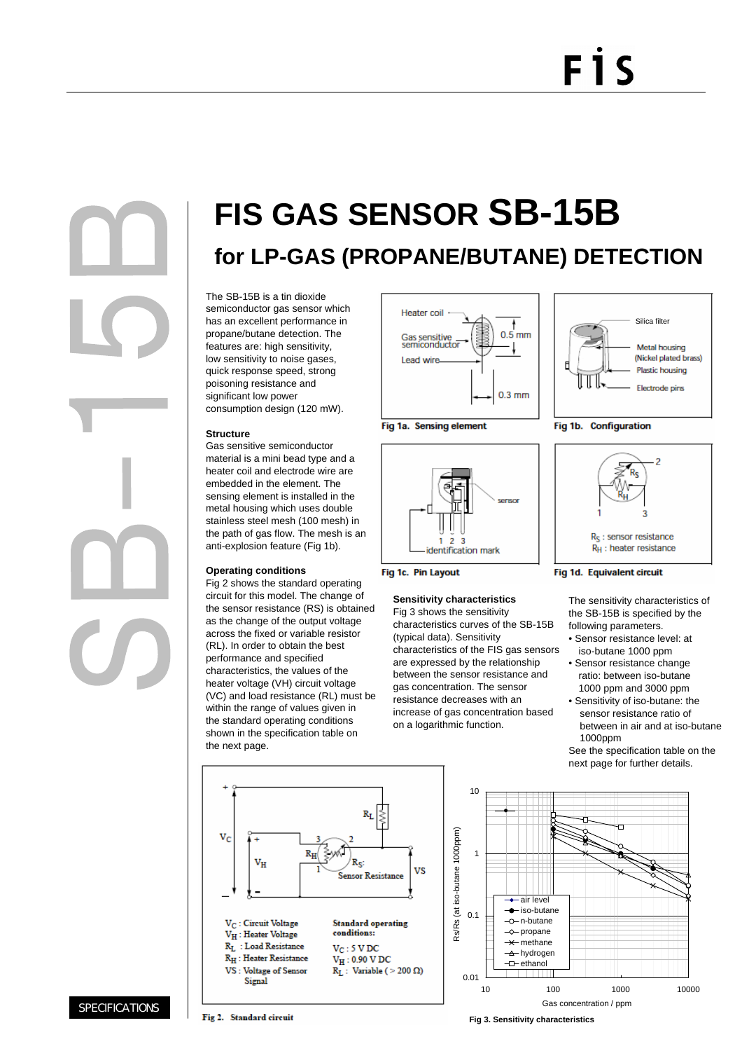# FİS

## **FIS GAS SENSOR SB-15B**

**for LP-GAS (PROPANE/BUTANE) DETECTION**

The SB-15B is a tin dioxide semiconductor gas sensor which has an excellent performance in propane/butane detection. The features are: high sensitivity, low sensitivity to noise gases, quick response speed, strong poisoning resistance and significant low power consumption design (120 mW).

## **Structure**

Gas sensitive semiconductor material is a mini bead type and a heater coil and electrode wire are embedded in the element. The sensing element is installed in the metal housing which uses double stainless steel mesh (100 mesh) in the path of gas flow. The mesh is an anti-explosion feature (Fig 1b).

## **Operating conditions**

Fig 2 shows the standard operating circuit for this model. The change of the sensor resistance (RS) is obtained as the change of the output voltage across the fixed or variable resistor (RL). In order to obtain the best performance and specified characteristics, the values of the heater voltage (VH) circuit voltage (VC) and load resistance (RL) must be within the range of values given in the standard operating conditions shown in the specification table on the next page.









## **Sensitivity characteristics**

Fig 3 shows the sensitivity characteristics curves of the SB-15B (typical data). Sensitivity characteristics of the FIS gas sensors are expressed by the relationship between the sensor resistance and gas concentration. The sensor resistance decreases with an increase of gas concentration based on a logarithmic function.







### Fig 1d. Equivalent circuit

The sensitivity characteristics of the SB-15B is specified by the following parameters.

- Sensor resistance level: at iso-butane 1000 ppm
- Sensor resistance change ratio: between iso-butane 1000 ppm and 3000 ppm
- Sensitivity of iso-butane: the sensor resistance ratio of between in air and at iso-butane 1000ppm

See the specification table on the next page for further details.





**Fig 3. Sensitivity characteristics**